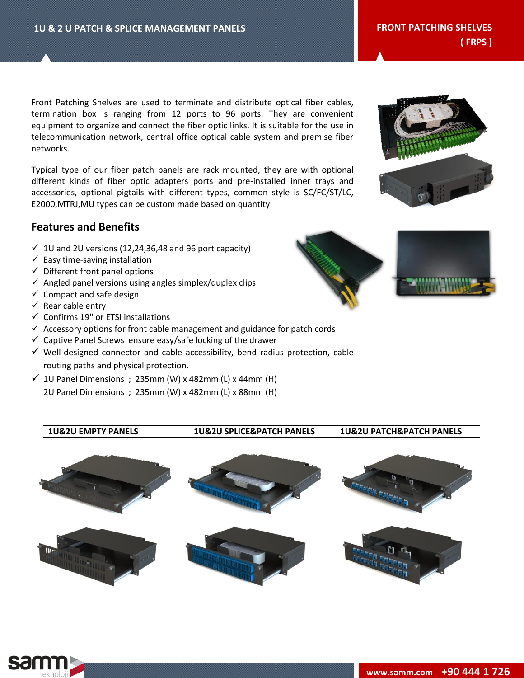Front Patching Shelves are used to terminate and distribute optical fiber cables, termination box is ranging from 12 ports to 96 ports. They are convenient equipment to organize and connect the fiber optic links. It is suitable for the use in telecommunication network, central office optical cable system and premise fiber networks.

Typical type of our fiber patch panels are rack mounted, they are with optional different kinds of fiber optic adapters ports and pre-installed inner trays and accessories, optional pigtails with different types, common style is SC/FC/ST/LC, E2000,MTRJ,MU types can be custom made based on quantity

# **Features and Benefits**

- $\checkmark$  1U and 2U versions (12,24,36,48 and 96 port capacity)
- $\checkmark$  Easy time-saving installation
- $\checkmark$  Different front panel options
- $\checkmark$  Angled panel versions using angles simplex/duplex clips
- $\checkmark$  Compact and safe design
- $\checkmark$  Rear cable entry
- $\checkmark$  Confirms 19" or ETSI installations
- $\checkmark$  Accessory options for front cable management and guidance for patch cords
- $\checkmark$  Captive Panel Screws ensure easy/safe locking of the drawer
- $\checkmark$  Well-designed connector and cable accessibility, bend radius protection, cable routing paths and physical protection.
- $\checkmark$  1U Panel Dimensions ; 235mm (W) x 482mm (L) x 44mm (H) 2U Panel Dimensions ; 235mm (W) x 482mm (L) x 88mm (H)

**1U&2U EMPTY PANELS 1U&2U SPLICE&PATCH PANELS 1U&2U PATCH&PATCH PANELS**









**( FRPS )**